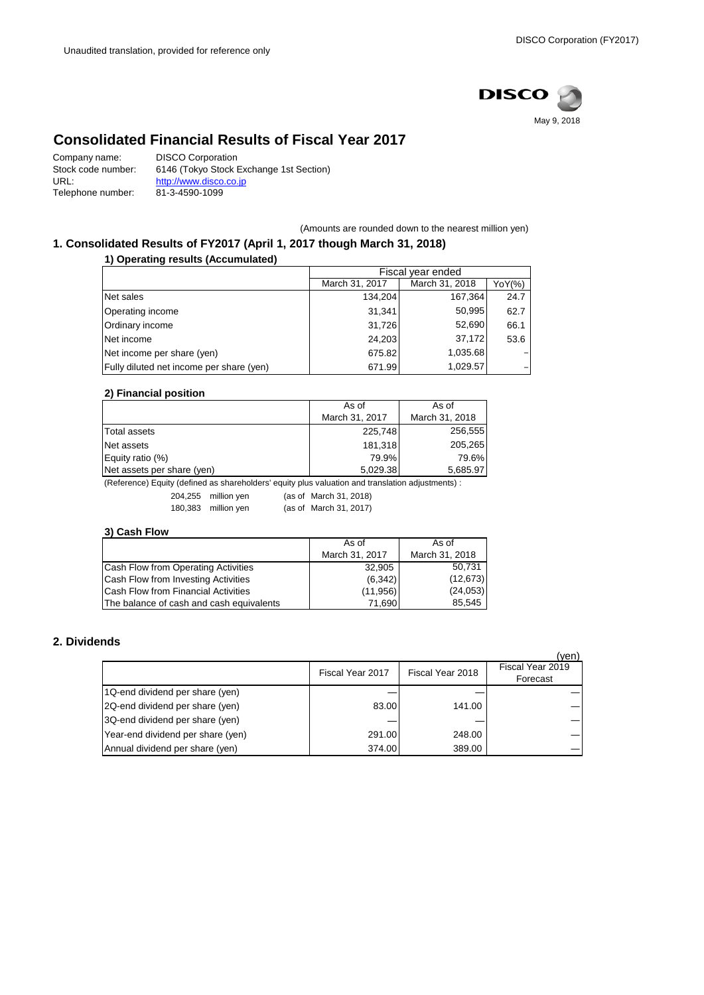

# **Consolidated Financial Results of Fiscal Year 2017**

| Company name:      | <b>DISCO Corporation</b>                |
|--------------------|-----------------------------------------|
| Stock code number: | 6146 (Tokyo Stock Exchange 1st Section) |
| URL:               | http://www.disco.co.jp                  |
| Telephone number:  | 81-3-4590-1099                          |

(Amounts are rounded down to the nearest million yen)

# **1. Consolidated Results of FY2017 (April 1, 2017 though March 31, 2018)**

**1) Operating results (Accumulated)**

|                                          | Fiscal year ended |                |        |
|------------------------------------------|-------------------|----------------|--------|
|                                          | March 31, 2017    | March 31, 2018 | YoY(%) |
| Net sales                                | 134.204           | 167,364        | 24.7   |
| Operating income                         | 31.341            | 50,995         | 62.7   |
| Ordinary income                          | 31,726            | 52,690         | 66.1   |
| Net income                               | 24,203            | 37,172         | 53.6   |
| Net income per share (yen)               | 675.82            | 1,035.68       |        |
| Fully diluted net income per share (yen) | 671.99            | 1,029.57       |        |

### **2) Financial position**

|                            | As of          | As of          |
|----------------------------|----------------|----------------|
|                            | March 31, 2017 | March 31, 2018 |
| <b>Total assets</b>        | 225,748        | 256,555        |
| Net assets                 | 181.318        | 205.265        |
| Equity ratio (%)           | 79.9%          | 79.6%          |
| Net assets per share (yen) | 5,029.38       | 5,685.97       |

(Reference) Equity (defined as shareholders' equity plus valuation and translation adjustments) :

204,255 million yen (as of March 31, 2018) 180,383 million yen (as of March 31, 2017)

### **3) Cash Flow**

|                                          | As of          | As of          |
|------------------------------------------|----------------|----------------|
|                                          | March 31, 2017 | March 31, 2018 |
| Cash Flow from Operating Activities      | 32,905         | 50,731         |
| Cash Flow from Investing Activities      | (6,342)        | (12, 673)      |
| Cash Flow from Financial Activities      | (11, 956)      | (24,053)       |
| The balance of cash and cash equivalents | 71.6901        | 85,545         |

## **2. Dividends**

|                                   |                  |                  | (yen)                        |
|-----------------------------------|------------------|------------------|------------------------------|
|                                   | Fiscal Year 2017 | Fiscal Year 2018 | Fiscal Year 2019<br>Forecast |
| 1Q-end dividend per share (yen)   |                  |                  |                              |
| 2Q-end dividend per share (yen)   | 83.00            | 141.00           |                              |
| 3Q-end dividend per share (yen)   |                  |                  |                              |
| Year-end dividend per share (yen) | 291.00           | 248.00           |                              |
| Annual dividend per share (yen)   | 374.00           | 389.00           |                              |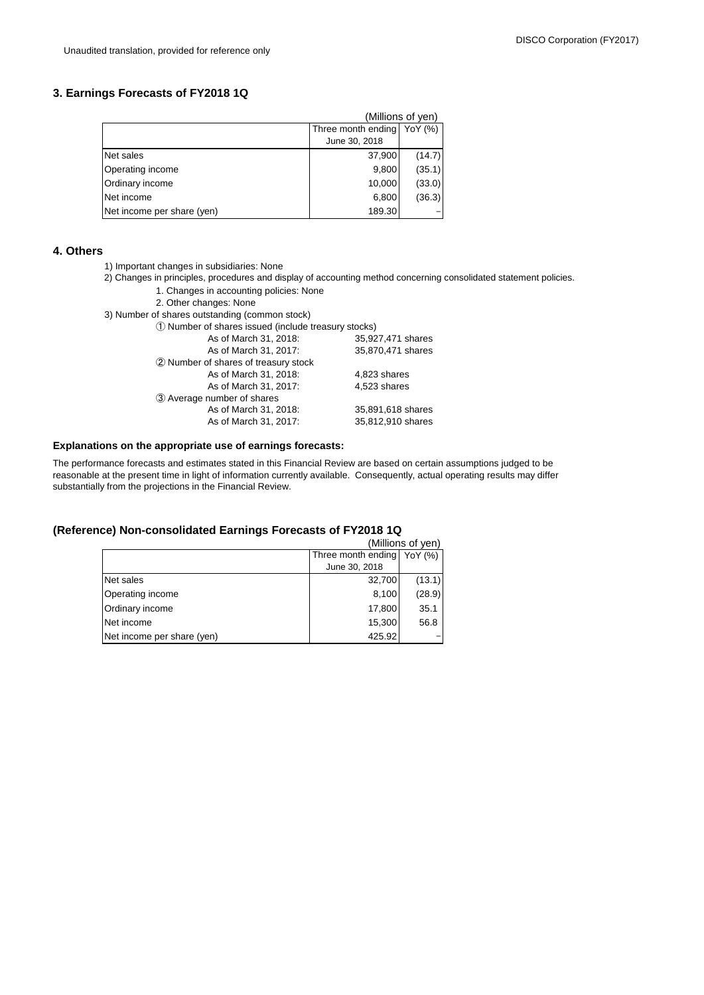## **3. Earnings Forecasts of FY2018 1Q**

| (Millions of yen)          |                            |        |  |
|----------------------------|----------------------------|--------|--|
|                            | Three month ending YoY (%) |        |  |
|                            | June 30, 2018              |        |  |
| Net sales                  | 37,900                     | (14.7) |  |
| Operating income           | 9,800                      | (35.1) |  |
| Ordinary income            | 10,000                     | (33.0) |  |
| Net income                 | 6,800                      | (36.3) |  |
| Net income per share (yen) | 189.30                     |        |  |

#### **4. Others**

- 1) Important changes in subsidiaries: None
- 2) Changes in principles, procedures and display of accounting method concerning consolidated statement policies.
	- 1. Changes in accounting policies: None
	- 2. Other changes: None
- 3) Number of shares outstanding (common stock)

① Number of shares issued (include treasury stocks)

| As of March 31, 2018:                | 35,927,471 shares |
|--------------------------------------|-------------------|
| As of March 31, 2017:                | 35,870,471 shares |
| 2 Number of shares of treasury stock |                   |
| As of March 31, 2018:                | 4,823 shares      |
| As of March 31, 2017:                | 4.523 shares      |
| 3 Average number of shares           |                   |
| As of March 31, 2018:                | 35,891,618 shares |
| As of March 31, 2017:                | 35,812,910 shares |
|                                      |                   |

### **Explanations on the appropriate use of earnings forecasts:**

The performance forecasts and estimates stated in this Financial Review are based on certain assumptions judged to be reasonable at the present time in light of information currently available. Consequently, actual operating results may differ substantially from the projections in the Financial Review.

#### **(Reference) Non-consolidated Earnings Forecasts of FY2018 1Q**

|                            | (Millions of yen)             |
|----------------------------|-------------------------------|
|                            | Three month ending<br>YoY (%) |
|                            | June 30, 2018                 |
| Net sales                  | (13.1)<br>32,700              |
| Operating income           | (28.9)<br>8,100               |
| Ordinary income            | 17,800<br>35.1                |
| Net income                 | 15,300<br>56.8                |
| Net income per share (yen) | 425.92                        |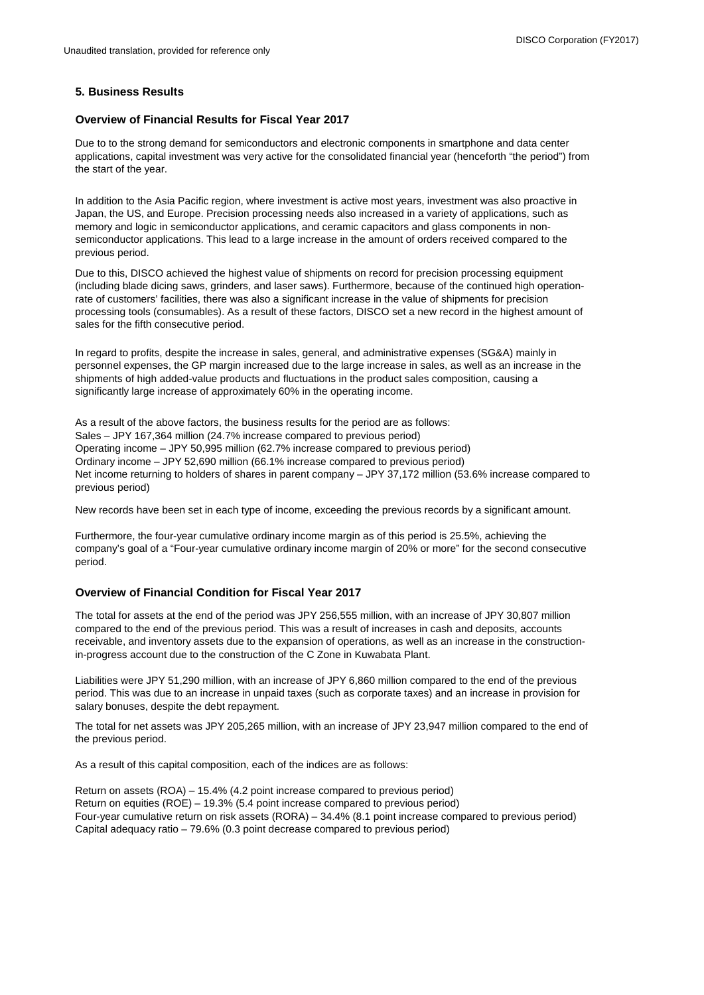## **5. Business Results**

### **Overview of Financial Results for Fiscal Year 2017**

Due to to the strong demand for semiconductors and electronic components in smartphone and data center applications, capital investment was very active for the consolidated financial year (henceforth "the period") from the start of the year.

In addition to the Asia Pacific region, where investment is active most years, investment was also proactive in Japan, the US, and Europe. Precision processing needs also increased in a variety of applications, such as memory and logic in semiconductor applications, and ceramic capacitors and glass components in nonsemiconductor applications. This lead to a large increase in the amount of orders received compared to the previous period.

Due to this, DISCO achieved the highest value of shipments on record for precision processing equipment (including blade dicing saws, grinders, and laser saws). Furthermore, because of the continued high operationrate of customers' facilities, there was also a significant increase in the value of shipments for precision processing tools (consumables). As a result of these factors, DISCO set a new record in the highest amount of sales for the fifth consecutive period.

In regard to profits, despite the increase in sales, general, and administrative expenses (SG&A) mainly in personnel expenses, the GP margin increased due to the large increase in sales, as well as an increase in the shipments of high added-value products and fluctuations in the product sales composition, causing a significantly large increase of approximately 60% in the operating income.

As a result of the above factors, the business results for the period are as follows: Sales – JPY 167,364 million (24.7% increase compared to previous period) Operating income – JPY 50,995 million (62.7% increase compared to previous period) Ordinary income – JPY 52,690 million (66.1% increase compared to previous period) Net income returning to holders of shares in parent company – JPY 37,172 million (53.6% increase compared to previous period)

New records have been set in each type of income, exceeding the previous records by a significant amount.

Furthermore, the four-year cumulative ordinary income margin as of this period is 25.5%, achieving the company's goal of a "Four-year cumulative ordinary income margin of 20% or more" for the second consecutive period.

## **Overview of Financial Condition for Fiscal Year 2017**

The total for assets at the end of the period was JPY 256,555 million, with an increase of JPY 30,807 million compared to the end of the previous period. This was a result of increases in cash and deposits, accounts receivable, and inventory assets due to the expansion of operations, as well as an increase in the constructionin-progress account due to the construction of the C Zone in Kuwabata Plant.

Liabilities were JPY 51,290 million, with an increase of JPY 6,860 million compared to the end of the previous period. This was due to an increase in unpaid taxes (such as corporate taxes) and an increase in provision for salary bonuses, despite the debt repayment.

The total for net assets was JPY 205,265 million, with an increase of JPY 23,947 million compared to the end of the previous period.

As a result of this capital composition, each of the indices are as follows:

Return on assets (ROA) – 15.4% (4.2 point increase compared to previous period) Return on equities (ROE) – 19.3% (5.4 point increase compared to previous period) Four-year cumulative return on risk assets (RORA) – 34.4% (8.1 point increase compared to previous period) Capital adequacy ratio – 79.6% (0.3 point decrease compared to previous period)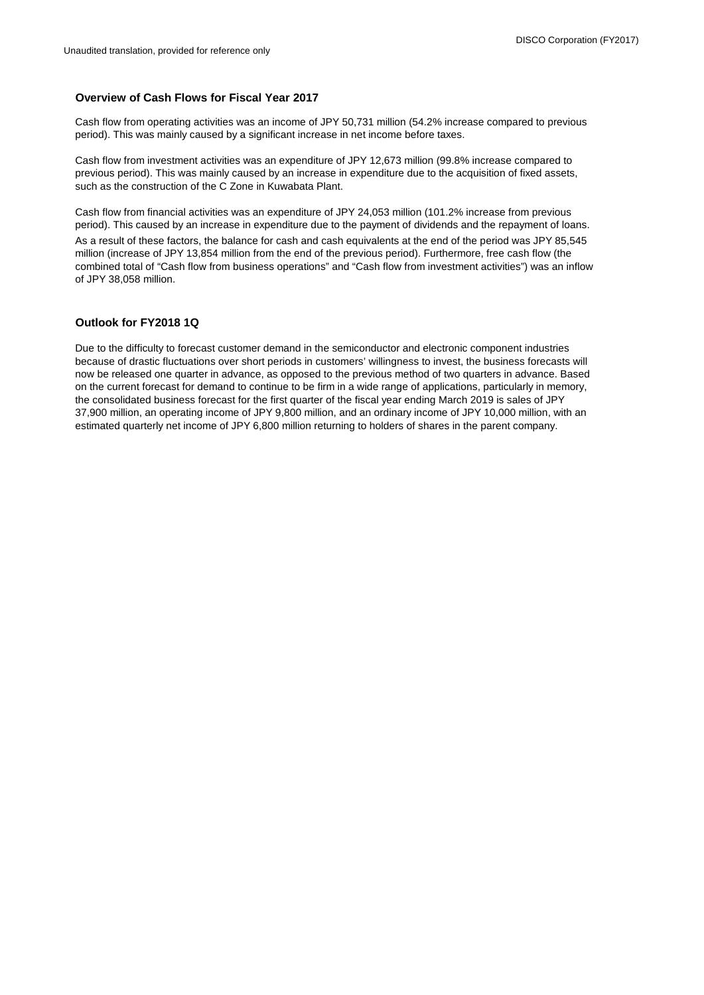## **Overview of Cash Flows for Fiscal Year 2017**

Cash flow from operating activities was an income of JPY 50,731 million (54.2% increase compared to previous period). This was mainly caused by a significant increase in net income before taxes.

Cash flow from investment activities was an expenditure of JPY 12,673 million (99.8% increase compared to previous period). This was mainly caused by an increase in expenditure due to the acquisition of fixed assets, such as the construction of the C Zone in Kuwabata Plant.

Cash flow from financial activities was an expenditure of JPY 24,053 million (101.2% increase from previous period). This caused by an increase in expenditure due to the payment of dividends and the repayment of loans.

As a result of these factors, the balance for cash and cash equivalents at the end of the period was JPY 85,545 million (increase of JPY 13,854 million from the end of the previous period). Furthermore, free cash flow (the combined total of "Cash flow from business operations" and "Cash flow from investment activities") was an inflow of JPY 38,058 million.

### **Outlook for FY2018 1Q**

Due to the difficulty to forecast customer demand in the semiconductor and electronic component industries because of drastic fluctuations over short periods in customers' willingness to invest, the business forecasts will now be released one quarter in advance, as opposed to the previous method of two quarters in advance. Based on the current forecast for demand to continue to be firm in a wide range of applications, particularly in memory, the consolidated business forecast for the first quarter of the fiscal year ending March 2019 is sales of JPY 37,900 million, an operating income of JPY 9,800 million, and an ordinary income of JPY 10,000 million, with an estimated quarterly net income of JPY 6,800 million returning to holders of shares in the parent company.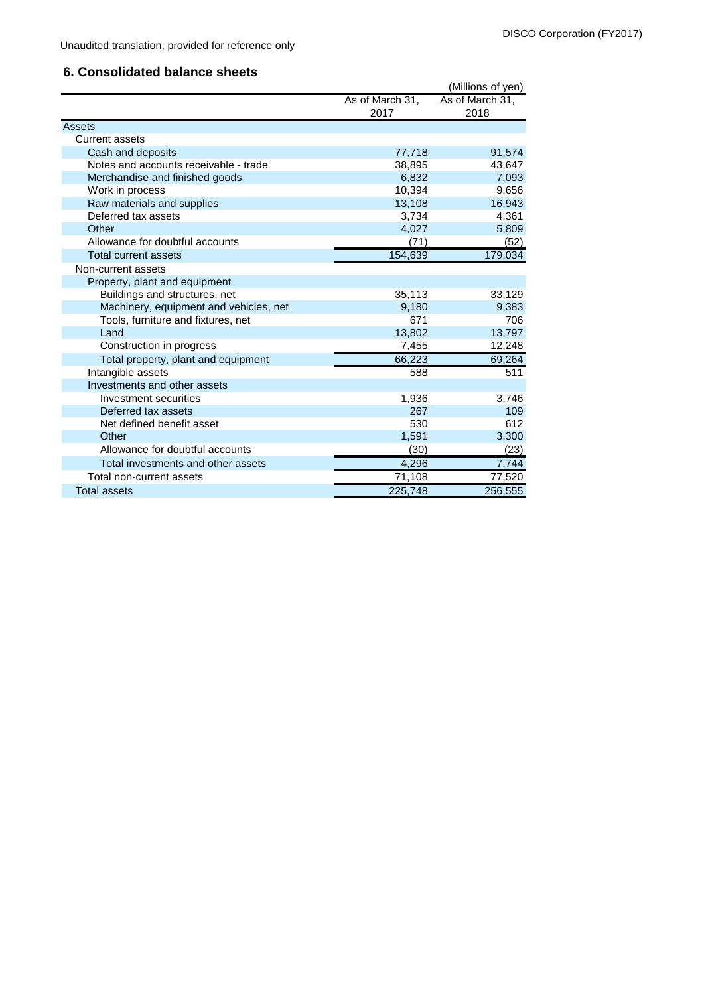Unaudited translation, provided for reference only

## **6. Consolidated balance sheets**

|                                        |                    | (Millions of yen) |
|----------------------------------------|--------------------|-------------------|
|                                        | As of March 31,    | As of March 31,   |
|                                        | 2017               | 2018              |
| Assets                                 |                    |                   |
| Current assets                         |                    |                   |
| Cash and deposits                      | 77,718             | 91,574            |
| Notes and accounts receivable - trade  | 38,895             | 43,647            |
| Merchandise and finished goods         | 6,832              | 7,093             |
| Work in process                        | 10,394             | 9,656             |
| Raw materials and supplies             | 13,108             | 16,943            |
| Deferred tax assets                    | 3,734              | 4,361             |
| Other                                  | 4,027              | 5,809             |
| Allowance for doubtful accounts        | (71)               | (52)              |
| <b>Total current assets</b>            | 154,639            | 179,034           |
| Non-current assets                     |                    |                   |
| Property, plant and equipment          |                    |                   |
| Buildings and structures, net          | 35,113             | 33,129            |
| Machinery, equipment and vehicles, net | 9,180              | 9,383             |
| Tools, furniture and fixtures, net     | 671                | 706               |
| Land                                   | 13,802             | 13,797            |
| Construction in progress               | 7,455              | 12,248            |
| Total property, plant and equipment    | 66,223             | 69,264            |
| Intangible assets                      | 588                | 511               |
| Investments and other assets           |                    |                   |
| Investment securities                  | 1,936              | 3,746             |
| Deferred tax assets                    | 267                | 109               |
| Net defined benefit asset              | 530                | 612               |
| Other                                  | 1,591              | 3,300             |
| Allowance for doubtful accounts        | (30)               | (23)              |
| Total investments and other assets     | $\overline{4,}296$ | 7,744             |
| Total non-current assets               | 71,108             | 77,520            |
| <b>Total assets</b>                    | 225,748            | 256,555           |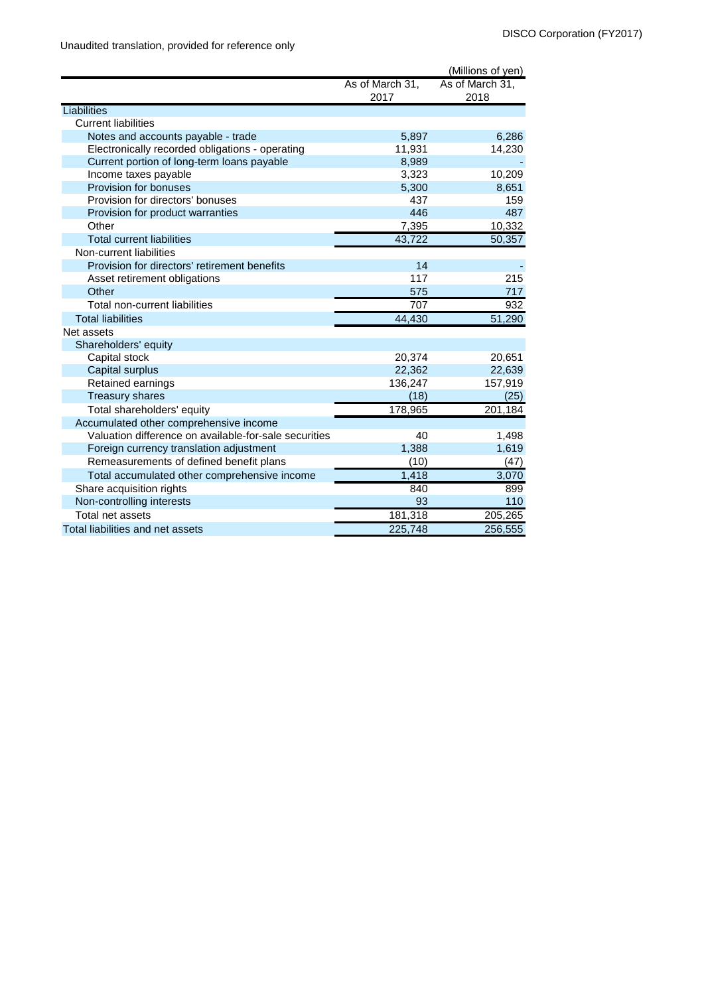|                                                       |                 | (Millions of yen) |
|-------------------------------------------------------|-----------------|-------------------|
|                                                       | As of March 31, | As of March 31,   |
|                                                       | 2017            | 2018              |
| Liabilities                                           |                 |                   |
| <b>Current liabilities</b>                            |                 |                   |
| Notes and accounts payable - trade                    | 5,897           | 6,286             |
| Electronically recorded obligations - operating       | 11,931          | 14,230            |
| Current portion of long-term loans payable            | 8,989           |                   |
| Income taxes payable                                  | 3,323           | 10,209            |
| Provision for bonuses                                 | 5,300           | 8,651             |
| Provision for directors' bonuses                      | 437             | 159               |
| Provision for product warranties                      | 446             | 487               |
| Other                                                 | 7,395           | 10,332            |
| <b>Total current liabilities</b>                      | 43,722          | 50,357            |
| Non-current liabilities                               |                 |                   |
| Provision for directors' retirement benefits          | 14              |                   |
| Asset retirement obligations                          | 117             | 215               |
| Other                                                 | 575             | 717               |
| Total non-current liabilities                         | 707             | 932               |
| <b>Total liabilities</b>                              | 44,430          | 51,290            |
| Net assets                                            |                 |                   |
| Shareholders' equity                                  |                 |                   |
| Capital stock                                         | 20,374          | 20,651            |
| Capital surplus                                       | 22,362          | 22,639            |
| Retained earnings                                     | 136,247         | 157,919           |
| <b>Treasury shares</b>                                | (18)            | (25)              |
| Total shareholders' equity                            | 178,965         | 201,184           |
| Accumulated other comprehensive income                |                 |                   |
| Valuation difference on available-for-sale securities | 40              | 1,498             |
| Foreign currency translation adjustment               | 1,388           | 1,619             |
| Remeasurements of defined benefit plans               | (10)            | (47)              |
| Total accumulated other comprehensive income          | 1,418           | 3,070             |
| Share acquisition rights                              | 840             | 899               |
| Non-controlling interests                             | 93              | 110               |
| Total net assets                                      | 181,318         | 205,265           |
| Total liabilities and net assets                      | 225,748         | 256,555           |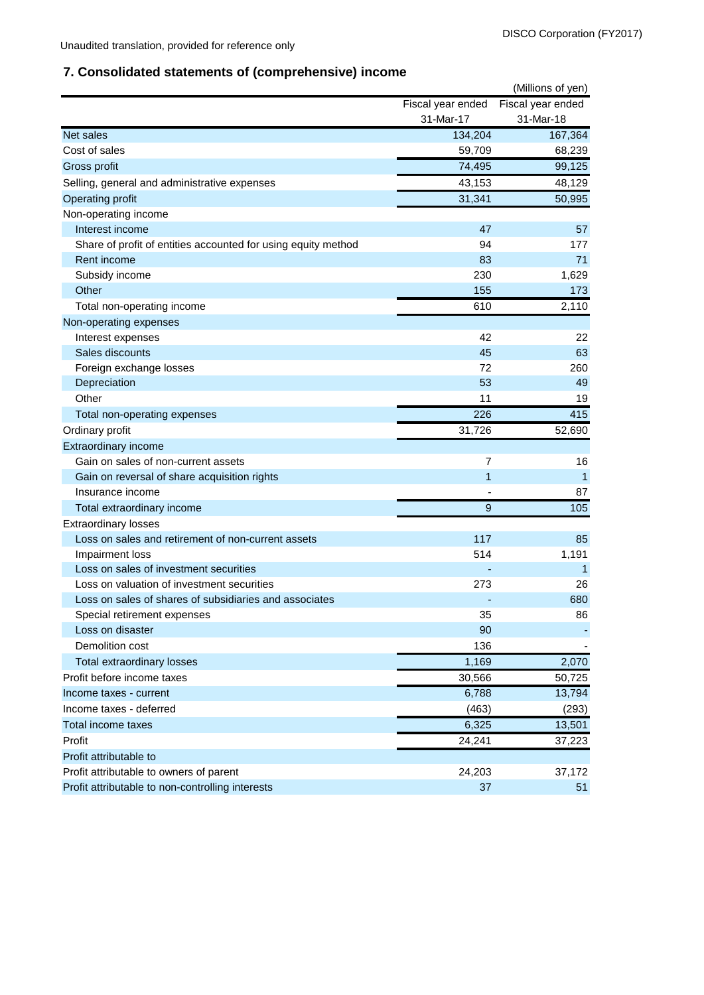# **7. Consolidated statements of (comprehensive) income**

|                                                               |                   | (Millions of yen) |
|---------------------------------------------------------------|-------------------|-------------------|
|                                                               | Fiscal year ended | Fiscal year ended |
|                                                               | 31-Mar-17         | 31-Mar-18         |
| Net sales                                                     | 134,204           | 167,364           |
| Cost of sales                                                 | 59,709            | 68,239            |
| Gross profit                                                  | 74,495            | 99,125            |
| Selling, general and administrative expenses                  | 43,153            | 48,129            |
| Operating profit                                              | 31,341            | 50,995            |
| Non-operating income                                          |                   |                   |
| Interest income                                               | 47                | 57                |
| Share of profit of entities accounted for using equity method | 94                | 177               |
| Rent income                                                   | 83                | 71                |
| Subsidy income                                                | 230               | 1,629             |
| Other                                                         | 155               | 173               |
| Total non-operating income                                    | 610               | 2,110             |
| Non-operating expenses                                        |                   |                   |
| Interest expenses                                             | 42                | 22                |
| Sales discounts                                               | 45                | 63                |
| Foreign exchange losses                                       | 72                | 260               |
| Depreciation                                                  | 53                | 49                |
| Other                                                         | 11                | 19                |
| Total non-operating expenses                                  | 226               | 415               |
| Ordinary profit                                               | 31,726            | 52,690            |
| Extraordinary income                                          |                   |                   |
| Gain on sales of non-current assets                           | 7                 | 16                |
| Gain on reversal of share acquisition rights                  | $\mathbf{1}$      | $\mathbf{1}$      |
| Insurance income                                              |                   | 87                |
| Total extraordinary income                                    | 9                 | 105               |
| <b>Extraordinary losses</b>                                   |                   |                   |
| Loss on sales and retirement of non-current assets            | 117               | 85                |
| Impairment loss                                               | 514               | 1,191             |
| Loss on sales of investment securities                        |                   | $\mathbf 1$       |
| Loss on valuation of investment securities                    | 273               | 26                |
| Loss on sales of shares of subsidiaries and associates        |                   | 680               |
| Special retirement expenses                                   | 35                | 86                |
| Loss on disaster                                              | 90                |                   |
| Demolition cost                                               | 136               |                   |
| Total extraordinary losses                                    | 1,169             | 2,070             |
| Profit before income taxes                                    | 30,566            | 50,725            |
| Income taxes - current                                        | 6,788             | 13,794            |
| Income taxes - deferred                                       | (463)             | (293)             |
| Total income taxes                                            | 6,325             | 13,501            |
| Profit                                                        | 24,241            | 37,223            |
| Profit attributable to                                        |                   |                   |
| Profit attributable to owners of parent                       | 24,203            | 37,172            |
| Profit attributable to non-controlling interests              | 37                | 51                |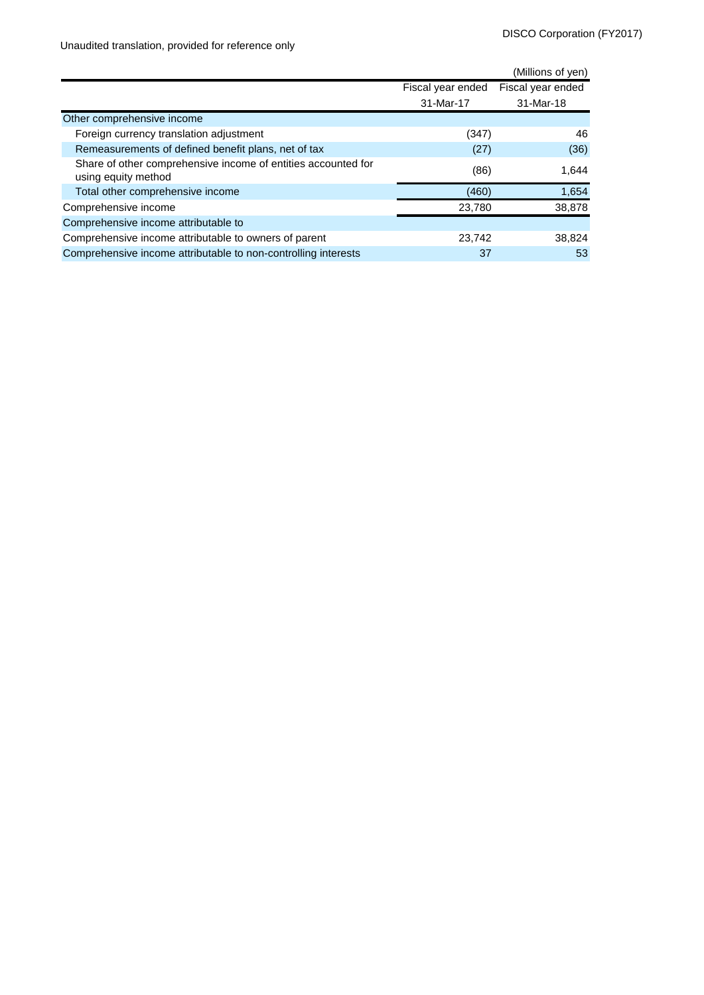Unaudited translation, provided for reference only

|                                                                                      |                   | (Millions of yen) |
|--------------------------------------------------------------------------------------|-------------------|-------------------|
|                                                                                      | Fiscal year ended | Fiscal year ended |
|                                                                                      | 31-Mar-17         | 31-Mar-18         |
| Other comprehensive income                                                           |                   |                   |
| Foreign currency translation adjustment                                              | (347)             | 46                |
| Remeasurements of defined benefit plans, net of tax                                  | (27)              | (36)              |
| Share of other comprehensive income of entities accounted for<br>using equity method | (86)              | 1,644             |
| Total other comprehensive income                                                     | (460)             | 1,654             |
| Comprehensive income                                                                 | 23,780            | 38,878            |
| Comprehensive income attributable to                                                 |                   |                   |
| Comprehensive income attributable to owners of parent                                | 23,742            | 38,824            |
| Comprehensive income attributable to non-controlling interests                       | 37                | 53                |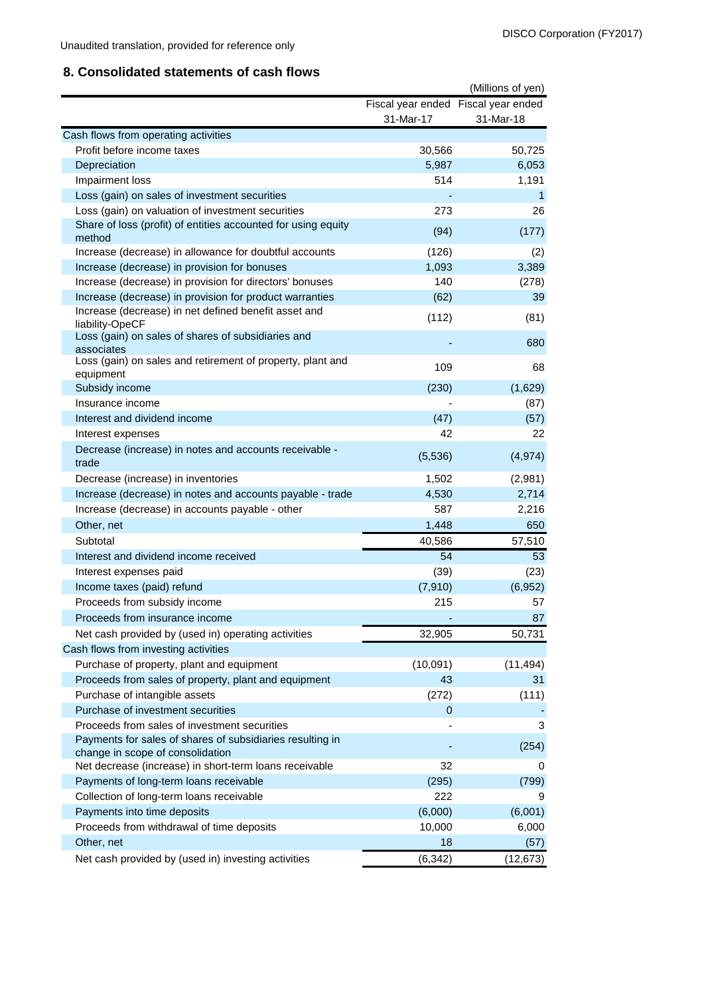## **8. Consolidated statements of cash flows**

|                                                                                               |             | (Millions of yen)                   |
|-----------------------------------------------------------------------------------------------|-------------|-------------------------------------|
|                                                                                               |             | Fiscal year ended Fiscal year ended |
|                                                                                               | 31-Mar-17   | 31-Mar-18                           |
| Cash flows from operating activities                                                          |             |                                     |
| Profit before income taxes                                                                    | 30,566      | 50,725                              |
| Depreciation                                                                                  | 5,987       | 6,053                               |
| Impairment loss                                                                               | 514         | 1,191                               |
| Loss (gain) on sales of investment securities                                                 |             | 1                                   |
| Loss (gain) on valuation of investment securities                                             | 273         | 26                                  |
| Share of loss (profit) of entities accounted for using equity<br>method                       | (94)        | (177)                               |
| Increase (decrease) in allowance for doubtful accounts                                        | (126)       | (2)                                 |
| Increase (decrease) in provision for bonuses                                                  | 1,093       | 3,389                               |
| Increase (decrease) in provision for directors' bonuses                                       | 140         | (278)                               |
| Increase (decrease) in provision for product warranties                                       | (62)        | 39                                  |
| Increase (decrease) in net defined benefit asset and<br>liability-OpeCF                       | (112)       | (81)                                |
| Loss (gain) on sales of shares of subsidiaries and<br>associates                              |             | 680                                 |
| Loss (gain) on sales and retirement of property, plant and<br>equipment                       | 109         | 68                                  |
| Subsidy income                                                                                | (230)       | (1,629)                             |
| Insurance income                                                                              |             | (87)                                |
| Interest and dividend income                                                                  | (47)        | (57)                                |
| Interest expenses                                                                             | 42          | 22                                  |
| Decrease (increase) in notes and accounts receivable -<br>trade                               | (5,536)     | (4, 974)                            |
| Decrease (increase) in inventories                                                            | 1,502       | (2,981)                             |
| Increase (decrease) in notes and accounts payable - trade                                     | 4,530       | 2,714                               |
| Increase (decrease) in accounts payable - other                                               | 587         | 2,216                               |
| Other, net                                                                                    | 1,448       | 650                                 |
| Subtotal                                                                                      | 40,586      | 57,510                              |
| Interest and dividend income received                                                         | 54          | 53                                  |
| Interest expenses paid                                                                        | (39)        | (23)                                |
| Income taxes (paid) refund                                                                    | (7, 910)    | (6,952)                             |
| Proceeds from subsidy income                                                                  | 215         | 57                                  |
| Proceeds from insurance income                                                                |             | 87                                  |
| Net cash provided by (used in) operating activities                                           | 32,905      | 50,731                              |
| Cash flows from investing activities                                                          |             |                                     |
| Purchase of property, plant and equipment                                                     | (10,091)    | (11, 494)                           |
| Proceeds from sales of property, plant and equipment                                          | 43          | 31                                  |
| Purchase of intangible assets                                                                 | (272)       | (111)                               |
| Purchase of investment securities                                                             | $\mathbf 0$ |                                     |
| Proceeds from sales of investment securities                                                  |             | 3                                   |
| Payments for sales of shares of subsidiaries resulting in<br>change in scope of consolidation |             | (254)                               |
| Net decrease (increase) in short-term loans receivable                                        | 32          | 0                                   |
| Payments of long-term loans receivable                                                        | (295)       | (799)                               |
| Collection of long-term loans receivable                                                      | 222         | 9                                   |
| Payments into time deposits                                                                   | (6,000)     | (6,001)                             |
| Proceeds from withdrawal of time deposits                                                     | 10,000      | 6,000                               |
| Other, net                                                                                    | 18          | (57)                                |
| Net cash provided by (used in) investing activities                                           | (6, 342)    | (12, 673)                           |